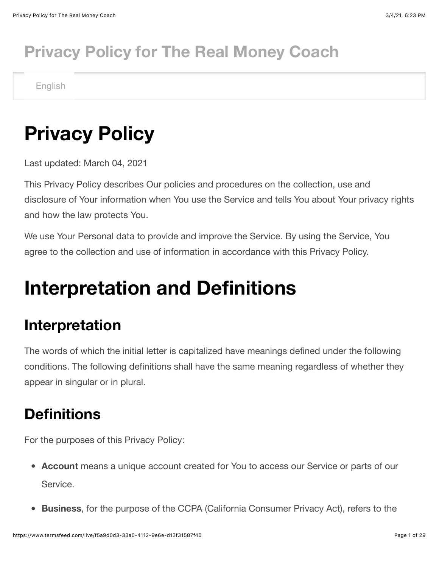## **Privacy Policy for The Real Money Coach**

English

## **Privacy Policy**

Last updated: March 04, 2021

This Privacy Policy describes Our policies and procedures on the collection, use and disclosure of Your information when You use the Service and tells You about Your privacy rights and how the law protects You.

We use Your Personal data to provide and improve the Service. By using the Service, You agree to the collection and use of information in accordance with this Privacy Policy.

## **Interpretation and Definitions**

#### **Interpretation**

The words of which the initial letter is capitalized have meanings defined under the following conditions. The following definitions shall have the same meaning regardless of whether they appear in singular or in plural.

### **Definitions**

For the purposes of this Privacy Policy:

- **Account** means a unique account created for You to access our Service or parts of our Service.
- **Business**, for the purpose of the CCPA (California Consumer Privacy Act), refers to the  $\bullet$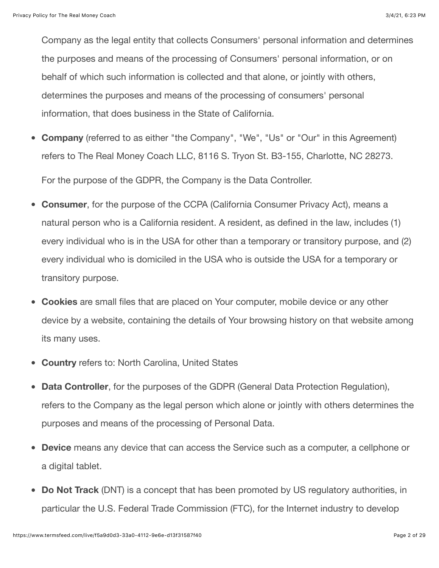Company as the legal entity that collects Consumers' personal information and determines the purposes and means of the processing of Consumers' personal information, or on behalf of which such information is collected and that alone, or jointly with others, determines the purposes and means of the processing of consumers' personal information, that does business in the State of California.

- **Company** (referred to as either "the Company", "We", "Us" or "Our" in this Agreement) refers to The Real Money Coach LLC, 8116 S. Tryon St. B3-155, Charlotte, NC 28273. For the purpose of the GDPR, the Company is the Data Controller.
- **Consumer**, for the purpose of the CCPA (California Consumer Privacy Act), means a natural person who is a California resident. A resident, as defined in the law, includes (1) every individual who is in the USA for other than a temporary or transitory purpose, and (2) every individual who is domiciled in the USA who is outside the USA for a temporary or transitory purpose.
- **Cookies** are small files that are placed on Your computer, mobile device or any other device by a website, containing the details of Your browsing history on that website among its many uses.
- **Country** refers to: North Carolina, United States
- **Data Controller**, for the purposes of the GDPR (General Data Protection Regulation),  $\bullet$ refers to the Company as the legal person which alone or jointly with others determines the purposes and means of the processing of Personal Data.
- **Device** means any device that can access the Service such as a computer, a cellphone or  $\bullet$ a digital tablet.
- **Do Not Track** (DNT) is a concept that has been promoted by US regulatory authorities, in particular the U.S. Federal Trade Commission (FTC), for the Internet industry to develop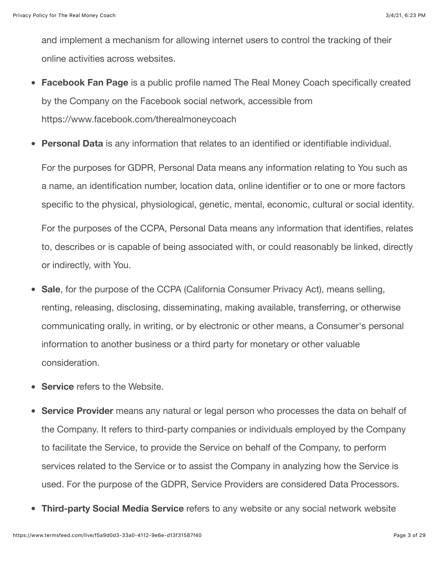and implement a mechanism for allowing internet users to control the tracking of their online activities across websites.

- **Facebook Fan Page** is a public profile named The Real Money Coach specifically created by the Company on the Facebook social network, accessible from <https://www.facebook.com/therealmoneycoach>
- **Personal Data** is any information that relates to an identified or identifiable individual.

For the purposes for GDPR, Personal Data means any information relating to You such as a name, an identification number, location data, online identifier or to one or more factors specific to the physical, physiological, genetic, mental, economic, cultural or social identity.

For the purposes of the CCPA, Personal Data means any information that identifies, relates to, describes or is capable of being associated with, or could reasonably be linked, directly or indirectly, with You.

- **Sale**, for the purpose of the CCPA (California Consumer Privacy Act), means selling,  $\bullet$ renting, releasing, disclosing, disseminating, making available, transferring, or otherwise communicating orally, in writing, or by electronic or other means, a Consumer's personal information to another business or a third party for monetary or other valuable consideration.
- **Service** refers to the Website.
- **Service Provider** means any natural or legal person who processes the data on behalf of the Company. It refers to third-party companies or individuals employed by the Company to facilitate the Service, to provide the Service on behalf of the Company, to perform services related to the Service or to assist the Company in analyzing how the Service is used. For the purpose of the GDPR, Service Providers are considered Data Processors.
- **Third-party Social Media Service** refers to any website or any social network website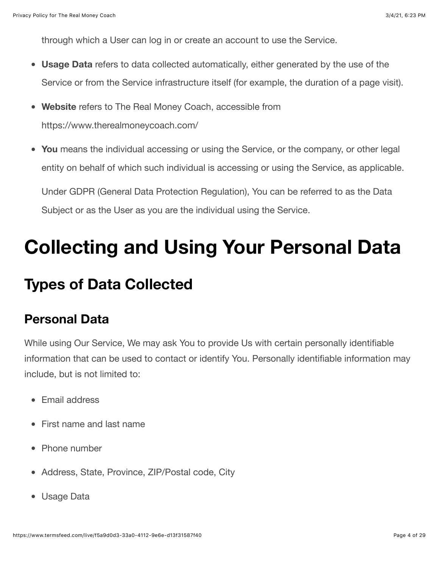through which a User can log in or create an account to use the Service.

- **Usage Data** refers to data collected automatically, either generated by the use of the Service or from the Service infrastructure itself (for example, the duration of a page visit).
- **Website** refers to The Real Money Coach, accessible from  $\bullet$ <https://www.therealmoneycoach.com/>
- **You** means the individual accessing or using the Service, or the company, or other legal entity on behalf of which such individual is accessing or using the Service, as applicable. Under GDPR (General Data Protection Regulation), You can be referred to as the Data Subject or as the User as you are the individual using the Service.

## **Collecting and Using Your Personal Data**

## **Types of Data Collected**

#### **Personal Data**

While using Our Service, We may ask You to provide Us with certain personally identifiable information that can be used to contact or identify You. Personally identifiable information may include, but is not limited to:

- Email address
- First name and last name
- Phone number
- Address, State, Province, ZIP/Postal code, City
- Usage Data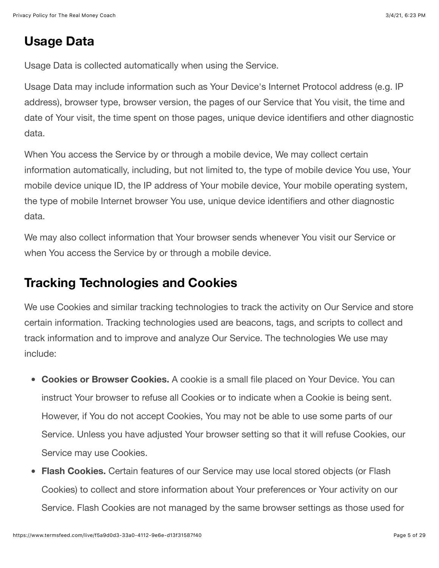#### **Usage Data**

Usage Data is collected automatically when using the Service.

Usage Data may include information such as Your Device's Internet Protocol address (e.g. IP address), browser type, browser version, the pages of our Service that You visit, the time and date of Your visit, the time spent on those pages, unique device identifiers and other diagnostic data.

When You access the Service by or through a mobile device, We may collect certain information automatically, including, but not limited to, the type of mobile device You use, Your mobile device unique ID, the IP address of Your mobile device, Your mobile operating system, the type of mobile Internet browser You use, unique device identifiers and other diagnostic data.

We may also collect information that Your browser sends whenever You visit our Service or when You access the Service by or through a mobile device.

#### **Tracking Technologies and Cookies**

We use Cookies and similar tracking technologies to track the activity on Our Service and store certain information. Tracking technologies used are beacons, tags, and scripts to collect and track information and to improve and analyze Our Service. The technologies We use may include:

- **Cookies or Browser Cookies.** A cookie is a small file placed on Your Device. You can instruct Your browser to refuse all Cookies or to indicate when a Cookie is being sent. However, if You do not accept Cookies, You may not be able to use some parts of our Service. Unless you have adjusted Your browser setting so that it will refuse Cookies, our Service may use Cookies.
- **Flash Cookies.** Certain features of our Service may use local stored objects (or Flash Cookies) to collect and store information about Your preferences or Your activity on our Service. Flash Cookies are not managed by the same browser settings as those used for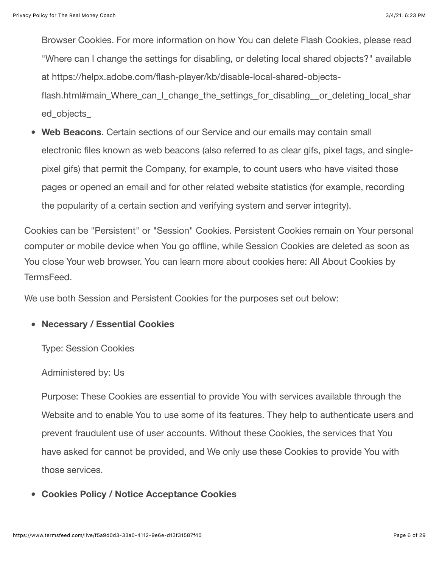Browser Cookies. For more information on how You can delete Flash Cookies, please read "Where can I change the settings for disabling, or deleting local shared objects?" available at https://helpx.adobe.com/flash-player/kb/disable-local-shared-objectsflash.html#main Where can I change the settings for disabling or deleting local shar ed\_objects\_

**Web Beacons.** Certain sections of our Service and our emails may contain small electronic files known as web beacons (also referred to as clear gifs, pixel tags, and singlepixel gifs) that permit the Company, for example, to count users who have visited those pages or opened an email and for other related website statistics (for example, recording the popularity of a certain section and verifying system and server integrity).

Cookies can be "Persistent" or "Session" Cookies. Persistent Cookies remain on Your personal computer or mobile device when You go offline, while Session Cookies are deleted as soon as [You close Your web browser. You can learn more about cookies here: All About Cookies by](https://www.termsfeed.com/blog/cookies/) TermsFeed.

We use both Session and Persistent Cookies for the purposes set out below:

#### **Necessary / Essential Cookies**

Type: Session Cookies

Administered by: Us

Purpose: These Cookies are essential to provide You with services available through the Website and to enable You to use some of its features. They help to authenticate users and prevent fraudulent use of user accounts. Without these Cookies, the services that You have asked for cannot be provided, and We only use these Cookies to provide You with those services.

**Cookies Policy / Notice Acceptance Cookies**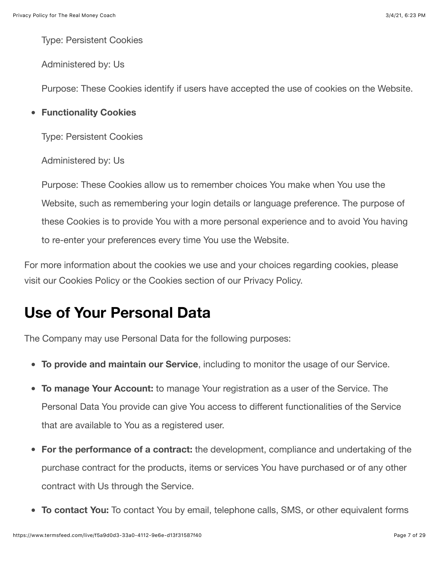Type: Persistent Cookies

Administered by: Us

Purpose: These Cookies identify if users have accepted the use of cookies on the Website.

**Functionality Cookies**

Type: Persistent Cookies

Administered by: Us

Purpose: These Cookies allow us to remember choices You make when You use the Website, such as remembering your login details or language preference. The purpose of these Cookies is to provide You with a more personal experience and to avoid You having to re-enter your preferences every time You use the Website.

For more information about the cookies we use and your choices regarding cookies, please visit our Cookies Policy or the Cookies section of our Privacy Policy.

### **Use of Your Personal Data**

The Company may use Personal Data for the following purposes:

- **To provide and maintain our Service**, including to monitor the usage of our Service.
- **To manage Your Account:** to manage Your registration as a user of the Service. The Personal Data You provide can give You access to different functionalities of the Service that are available to You as a registered user.
- **For the performance of a contract:** the development, compliance and undertaking of the purchase contract for the products, items or services You have purchased or of any other contract with Us through the Service.
- **To contact You:** To contact You by email, telephone calls, SMS, or other equivalent forms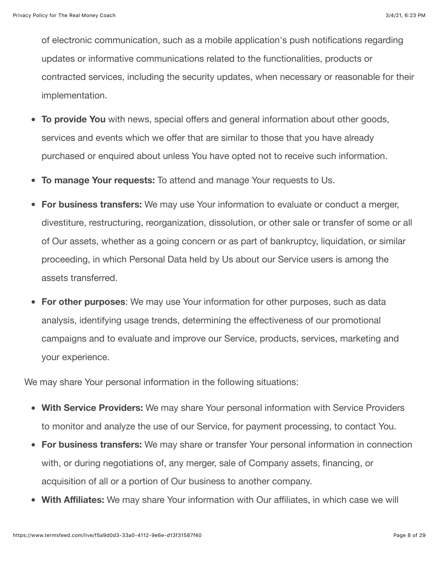of electronic communication, such as a mobile application's push notifications regarding updates or informative communications related to the functionalities, products or contracted services, including the security updates, when necessary or reasonable for their implementation.

- **To provide You** with news, special offers and general information about other goods,  $\bullet$ services and events which we offer that are similar to those that you have already purchased or enquired about unless You have opted not to receive such information.
- **To manage Your requests:** To attend and manage Your requests to Us.  $\bullet$
- **For business transfers:** We may use Your information to evaluate or conduct a merger, divestiture, restructuring, reorganization, dissolution, or other sale or transfer of some or all of Our assets, whether as a going concern or as part of bankruptcy, liquidation, or similar proceeding, in which Personal Data held by Us about our Service users is among the assets transferred.
- **For other purposes**: We may use Your information for other purposes, such as data analysis, identifying usage trends, determining the effectiveness of our promotional campaigns and to evaluate and improve our Service, products, services, marketing and your experience.

We may share Your personal information in the following situations:

- **With Service Providers:** We may share Your personal information with Service Providers to monitor and analyze the use of our Service, for payment processing, to contact You.
- **For business transfers:** We may share or transfer Your personal information in connection  $\bullet$ with, or during negotiations of, any merger, sale of Company assets, financing, or acquisition of all or a portion of Our business to another company.
- **With Affiliates:** We may share Your information with Our affiliates, in which case we will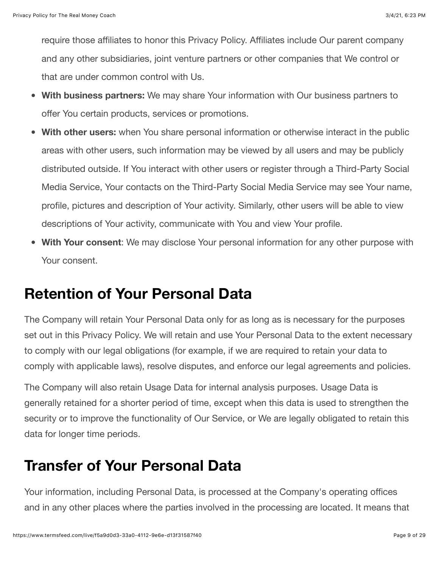require those affiliates to honor this Privacy Policy. Affiliates include Our parent company and any other subsidiaries, joint venture partners or other companies that We control or that are under common control with Us.

- **With business partners:** We may share Your information with Our business partners to offer You certain products, services or promotions.
- **With other users:** when You share personal information or otherwise interact in the public  $\bullet$ areas with other users, such information may be viewed by all users and may be publicly distributed outside. If You interact with other users or register through a Third-Party Social Media Service, Your contacts on the Third-Party Social Media Service may see Your name, profile, pictures and description of Your activity. Similarly, other users will be able to view descriptions of Your activity, communicate with You and view Your profile.
- **With Your consent**: We may disclose Your personal information for any other purpose with Your consent.

### **Retention of Your Personal Data**

The Company will retain Your Personal Data only for as long as is necessary for the purposes set out in this Privacy Policy. We will retain and use Your Personal Data to the extent necessary to comply with our legal obligations (for example, if we are required to retain your data to comply with applicable laws), resolve disputes, and enforce our legal agreements and policies.

The Company will also retain Usage Data for internal analysis purposes. Usage Data is generally retained for a shorter period of time, except when this data is used to strengthen the security or to improve the functionality of Our Service, or We are legally obligated to retain this data for longer time periods.

#### **Transfer of Your Personal Data**

Your information, including Personal Data, is processed at the Company's operating offices and in any other places where the parties involved in the processing are located. It means that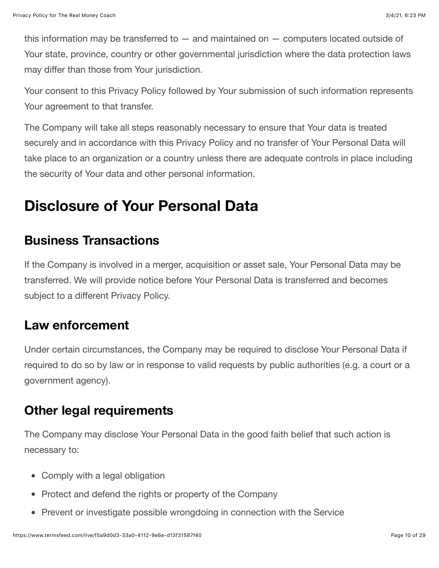this information may be transferred to  $-$  and maintained on  $-$  computers located outside of Your state, province, country or other governmental jurisdiction where the data protection laws may differ than those from Your jurisdiction.

Your consent to this Privacy Policy followed by Your submission of such information represents Your agreement to that transfer.

The Company will take all steps reasonably necessary to ensure that Your data is treated securely and in accordance with this Privacy Policy and no transfer of Your Personal Data will take place to an organization or a country unless there are adequate controls in place including the security of Your data and other personal information.

#### **Disclosure of Your Personal Data**

#### **Business Transactions**

If the Company is involved in a merger, acquisition or asset sale, Your Personal Data may be transferred. We will provide notice before Your Personal Data is transferred and becomes subject to a different Privacy Policy.

#### **Law enforcement**

Under certain circumstances, the Company may be required to disclose Your Personal Data if required to do so by law or in response to valid requests by public authorities (e.g. a court or a government agency).

#### **Other legal requirements**

The Company may disclose Your Personal Data in the good faith belief that such action is necessary to:

- Comply with a legal obligation
- Protect and defend the rights or property of the Company
- Prevent or investigate possible wrongdoing in connection with the Service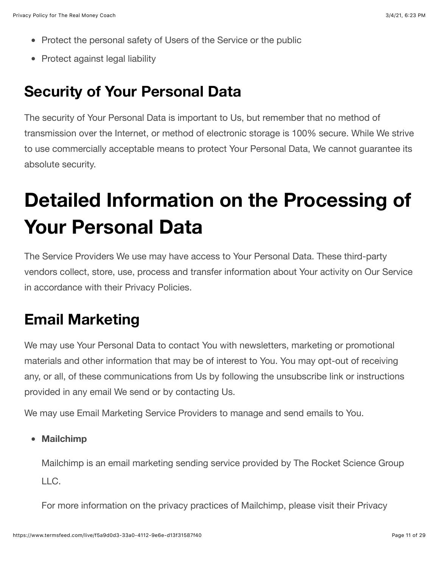- Protect the personal safety of Users of the Service or the public
- Protect against legal liability

### **Security of Your Personal Data**

The security of Your Personal Data is important to Us, but remember that no method of transmission over the Internet, or method of electronic storage is 100% secure. While We strive to use commercially acceptable means to protect Your Personal Data, We cannot guarantee its absolute security.

# **Detailed Information on the Processing of Your Personal Data**

The Service Providers We use may have access to Your Personal Data. These third-party vendors collect, store, use, process and transfer information about Your activity on Our Service in accordance with their Privacy Policies.

#### **Email Marketing**

We may use Your Personal Data to contact You with newsletters, marketing or promotional materials and other information that may be of interest to You. You may opt-out of receiving any, or all, of these communications from Us by following the unsubscribe link or instructions provided in any email We send or by contacting Us.

We may use Email Marketing Service Providers to manage and send emails to You.

**Mailchimp**

Mailchimp is an email marketing sending service provided by The Rocket Science Group LLC.

For more information on the privacy practices of Mailchimp, please visit their Privacy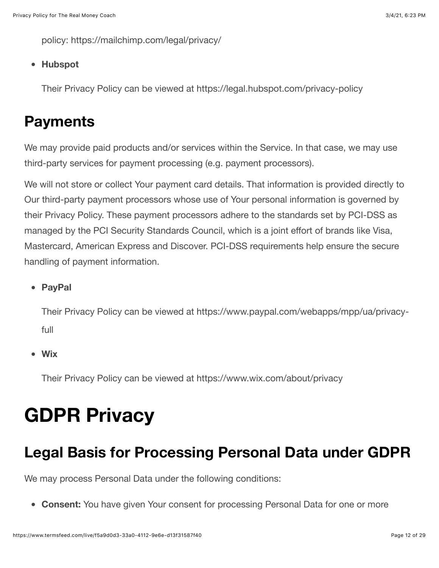policy:<https://mailchimp.com/legal/privacy/>

#### **Hubspot**

Their Privacy Policy can be viewed at<https://legal.hubspot.com/privacy-policy>

#### **Payments**

We may provide paid products and/or services within the Service. In that case, we may use third-party services for payment processing (e.g. payment processors).

We will not store or collect Your payment card details. That information is provided directly to Our third-party payment processors whose use of Your personal information is governed by their Privacy Policy. These payment processors adhere to the standards set by PCI-DSS as managed by the PCI Security Standards Council, which is a joint effort of brands like Visa, Mastercard, American Express and Discover. PCI-DSS requirements help ensure the secure handling of payment information.

**PayPal**

[Their Privacy Policy can be viewed at https://www.paypal.com/webapps/mpp/ua/privacy](https://www.paypal.com/webapps/mpp/ua/privacy-full)full

**Wix**

Their Privacy Policy can be viewed at<https://www.wix.com/about/privacy>

## **GDPR Privacy**

#### **Legal Basis for Processing Personal Data under GDPR**

We may process Personal Data under the following conditions:

**Consent:** You have given Your consent for processing Personal Data for one or more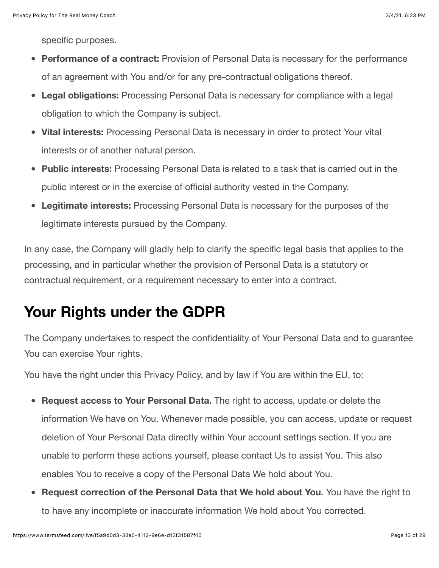specific purposes.

- **Performance of a contract:** Provision of Personal Data is necessary for the performance of an agreement with You and/or for any pre-contractual obligations thereof.
- **Legal obligations:** Processing Personal Data is necessary for compliance with a legal obligation to which the Company is subject.
- **Vital interests:** Processing Personal Data is necessary in order to protect Your vital interests or of another natural person.
- **Public interests:** Processing Personal Data is related to a task that is carried out in the  $\bullet$ public interest or in the exercise of official authority vested in the Company.
- **Legitimate interests:** Processing Personal Data is necessary for the purposes of the legitimate interests pursued by the Company.

In any case, the Company will gladly help to clarify the specific legal basis that applies to the processing, and in particular whether the provision of Personal Data is a statutory or contractual requirement, or a requirement necessary to enter into a contract.

#### **Your Rights under the GDPR**

The Company undertakes to respect the confidentiality of Your Personal Data and to guarantee You can exercise Your rights.

You have the right under this Privacy Policy, and by law if You are within the EU, to:

- **Request access to Your Personal Data.** The right to access, update or delete the information We have on You. Whenever made possible, you can access, update or request deletion of Your Personal Data directly within Your account settings section. If you are unable to perform these actions yourself, please contact Us to assist You. This also enables You to receive a copy of the Personal Data We hold about You.
- **Request correction of the Personal Data that We hold about You.** You have the right to to have any incomplete or inaccurate information We hold about You corrected.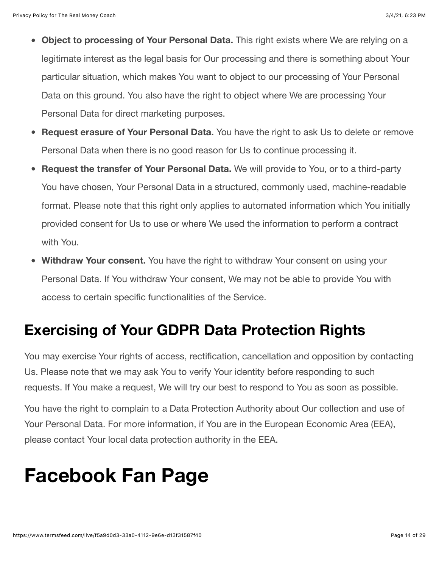- **Object to processing of Your Personal Data.** This right exists where We are relying on a legitimate interest as the legal basis for Our processing and there is something about Your particular situation, which makes You want to object to our processing of Your Personal Data on this ground. You also have the right to object where We are processing Your Personal Data for direct marketing purposes.
- **Request erasure of Your Personal Data.** You have the right to ask Us to delete or remove Personal Data when there is no good reason for Us to continue processing it.
- **Request the transfer of Your Personal Data.** We will provide to You, or to a third-party You have chosen, Your Personal Data in a structured, commonly used, machine-readable format. Please note that this right only applies to automated information which You initially provided consent for Us to use or where We used the information to perform a contract with You.
- **Withdraw Your consent.** You have the right to withdraw Your consent on using your Personal Data. If You withdraw Your consent, We may not be able to provide You with access to certain specific functionalities of the Service.

## **Exercising of Your GDPR Data Protection Rights**

You may exercise Your rights of access, rectification, cancellation and opposition by contacting Us. Please note that we may ask You to verify Your identity before responding to such requests. If You make a request, We will try our best to respond to You as soon as possible.

You have the right to complain to a Data Protection Authority about Our collection and use of Your Personal Data. For more information, if You are in the European Economic Area (EEA), please contact Your local data protection authority in the EEA.

## **Facebook Fan Page**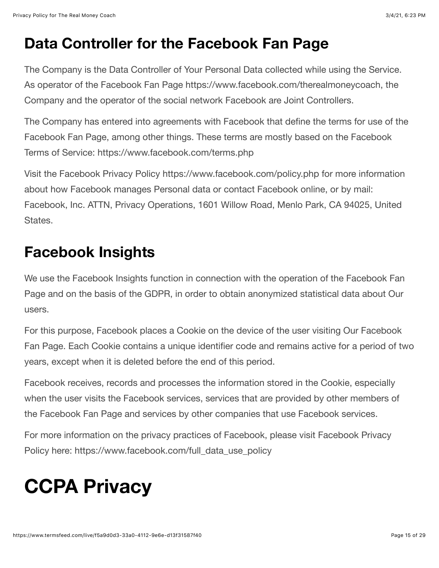### **Data Controller for the Facebook Fan Page**

The Company is the Data Controller of Your Personal Data collected while using the Service. As operator of the Facebook Fan Page [https://www.facebook.com/therealmoneycoach,](https://www.facebook.com/therealmoneycoach) the Company and the operator of the social network Facebook are Joint Controllers.

The Company has entered into agreements with Facebook that define the terms for use of the Facebook Fan Page, among other things. These terms are mostly based on the Facebook Terms of Service:<https://www.facebook.com/terms.php>

Visit the Facebook Privacy Policy <https://www.facebook.com/policy.php> for more information about how Facebook manages Personal data or contact Facebook online, or by mail: Facebook, Inc. ATTN, Privacy Operations, 1601 Willow Road, Menlo Park, CA 94025, United States.

## **Facebook Insights**

We use the Facebook Insights function in connection with the operation of the Facebook Fan Page and on the basis of the GDPR, in order to obtain anonymized statistical data about Our users.

For this purpose, Facebook places a Cookie on the device of the user visiting Our Facebook Fan Page. Each Cookie contains a unique identifier code and remains active for a period of two years, except when it is deleted before the end of this period.

Facebook receives, records and processes the information stored in the Cookie, especially when the user visits the Facebook services, services that are provided by other members of the Facebook Fan Page and services by other companies that use Facebook services.

For more information on the privacy practices of Facebook, please visit Facebook Privacy Policy here: [https://www.facebook.com/full\\_data\\_use\\_policy](https://www.facebook.com/full_data_use_policy)

# **CCPA Privacy**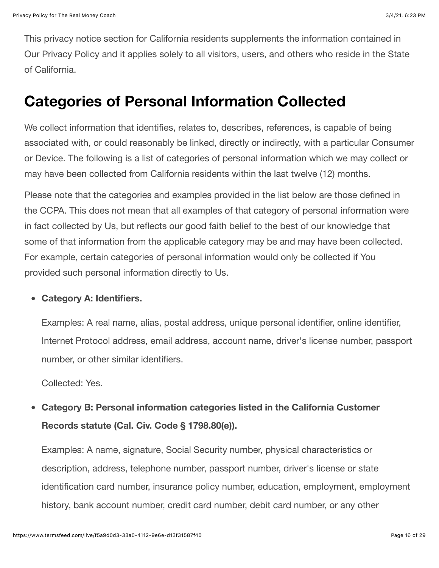This privacy notice section for California residents supplements the information contained in Our Privacy Policy and it applies solely to all visitors, users, and others who reside in the State of California.

#### **Categories of Personal Information Collected**

We collect information that identifies, relates to, describes, references, is capable of being associated with, or could reasonably be linked, directly or indirectly, with a particular Consumer or Device. The following is a list of categories of personal information which we may collect or may have been collected from California residents within the last twelve (12) months.

Please note that the categories and examples provided in the list below are those defined in the CCPA. This does not mean that all examples of that category of personal information were in fact collected by Us, but reflects our good faith belief to the best of our knowledge that some of that information from the applicable category may be and may have been collected. For example, certain categories of personal information would only be collected if You provided such personal information directly to Us.

#### **Category A: Identifiers.**

Examples: A real name, alias, postal address, unique personal identifier, online identifier, Internet Protocol address, email address, account name, driver's license number, passport number, or other similar identifiers.

Collected: Yes.

**Category B: Personal information categories listed in the California Customer**  $\bullet$ **Records statute (Cal. Civ. Code § 1798.80(e)).**

Examples: A name, signature, Social Security number, physical characteristics or description, address, telephone number, passport number, driver's license or state identification card number, insurance policy number, education, employment, employment history, bank account number, credit card number, debit card number, or any other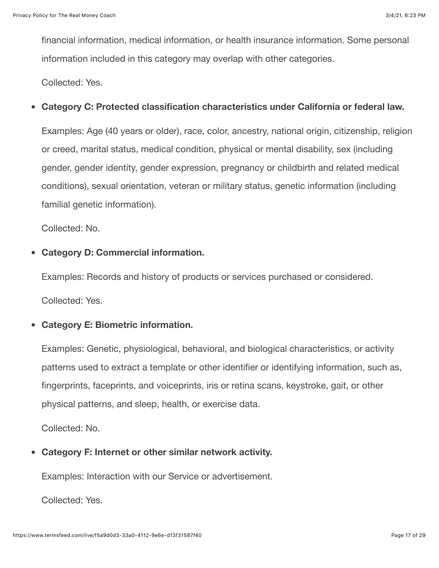financial information, medical information, or health insurance information. Some personal information included in this category may overlap with other categories.

Collected: Yes.

#### **Category C: Protected classification characteristics under California or federal law.**  $\bullet$

Examples: Age (40 years or older), race, color, ancestry, national origin, citizenship, religion or creed, marital status, medical condition, physical or mental disability, sex (including gender, gender identity, gender expression, pregnancy or childbirth and related medical conditions), sexual orientation, veteran or military status, genetic information (including familial genetic information).

Collected: No.

#### **Category D: Commercial information.**

Examples: Records and history of products or services purchased or considered.

Collected: Yes.

#### **Category E: Biometric information.**

Examples: Genetic, physiological, behavioral, and biological characteristics, or activity patterns used to extract a template or other identifier or identifying information, such as, fingerprints, faceprints, and voiceprints, iris or retina scans, keystroke, gait, or other physical patterns, and sleep, health, or exercise data.

Collected: No.

**Category F: Internet or other similar network activity.**

Examples: Interaction with our Service or advertisement.

Collected: Yes.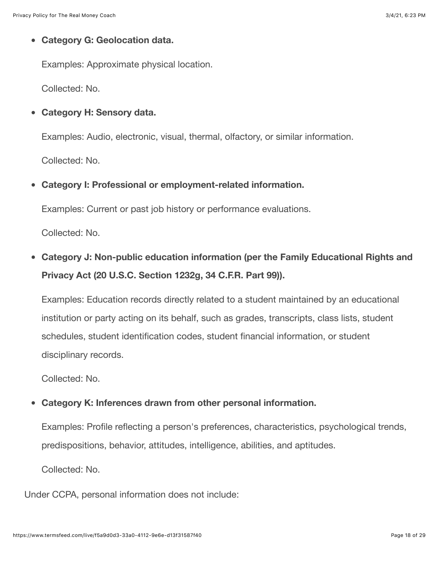#### **Category G: Geolocation data.**

Examples: Approximate physical location.

Collected: No.

**Category H: Sensory data.**

Examples: Audio, electronic, visual, thermal, olfactory, or similar information.

Collected: No.

 $\bullet$ **Category I: Professional or employment-related information.**

Examples: Current or past job history or performance evaluations.

Collected: No.

**Category J: Non-public education information (per the Family Educational Rights and Privacy Act (20 U.S.C. Section 1232g, 34 C.F.R. Part 99)).**

Examples: Education records directly related to a student maintained by an educational institution or party acting on its behalf, such as grades, transcripts, class lists, student schedules, student identification codes, student financial information, or student disciplinary records.

Collected: No.

#### $\bullet$ **Category K: Inferences drawn from other personal information.**

Examples: Profile reflecting a person's preferences, characteristics, psychological trends, predispositions, behavior, attitudes, intelligence, abilities, and aptitudes.

Collected: No.

Under CCPA, personal information does not include: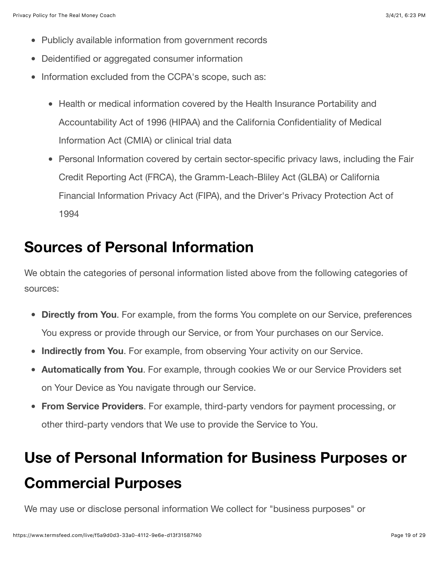- Publicly available information from government records
- Deidentified or aggregated consumer information
- Information excluded from the CCPA's scope, such as:
	- Health or medical information covered by the Health Insurance Portability and Accountability Act of 1996 (HIPAA) and the California Confidentiality of Medical Information Act (CMIA) or clinical trial data
	- Personal Information covered by certain sector-specific privacy laws, including the Fair Credit Reporting Act (FRCA), the Gramm-Leach-Bliley Act (GLBA) or California Financial Information Privacy Act (FIPA), and the Driver's Privacy Protection Act of 1994

#### **Sources of Personal Information**

We obtain the categories of personal information listed above from the following categories of sources:

- **Directly from You**. For example, from the forms You complete on our Service, preferences You express or provide through our Service, or from Your purchases on our Service.
- **Indirectly from You**. For example, from observing Your activity on our Service.  $\bullet$
- **Automatically from You**. For example, through cookies We or our Service Providers set on Your Device as You navigate through our Service.
- **From Service Providers**. For example, third-party vendors for payment processing, or other third-party vendors that We use to provide the Service to You.

## **Use of Personal Information for Business Purposes or Commercial Purposes**

We may use or disclose personal information We collect for "business purposes" or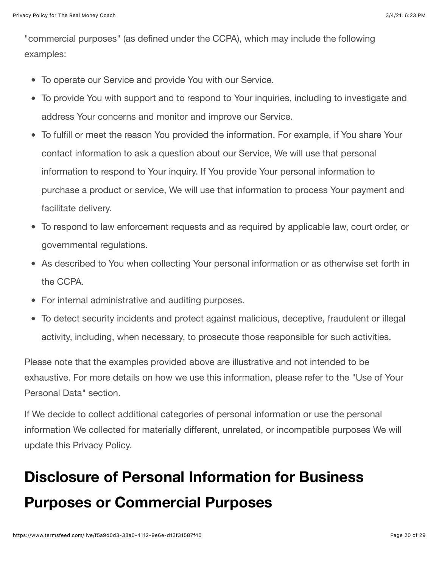"commercial purposes" (as defined under the CCPA), which may include the following examples:

- To operate our Service and provide You with our Service.
- To provide You with support and to respond to Your inquiries, including to investigate and address Your concerns and monitor and improve our Service.
- To fulfill or meet the reason You provided the information. For example, if You share Your contact information to ask a question about our Service, We will use that personal information to respond to Your inquiry. If You provide Your personal information to purchase a product or service, We will use that information to process Your payment and facilitate delivery.
- To respond to law enforcement requests and as required by applicable law, court order, or governmental regulations.
- As described to You when collecting Your personal information or as otherwise set forth in the CCPA.
- For internal administrative and auditing purposes.
- To detect security incidents and protect against malicious, deceptive, fraudulent or illegal activity, including, when necessary, to prosecute those responsible for such activities.

Please note that the examples provided above are illustrative and not intended to be exhaustive. For more details on how we use this information, please refer to the "Use of Your Personal Data" section.

If We decide to collect additional categories of personal information or use the personal information We collected for materially different, unrelated, or incompatible purposes We will update this Privacy Policy.

## **Disclosure of Personal Information for Business Purposes or Commercial Purposes**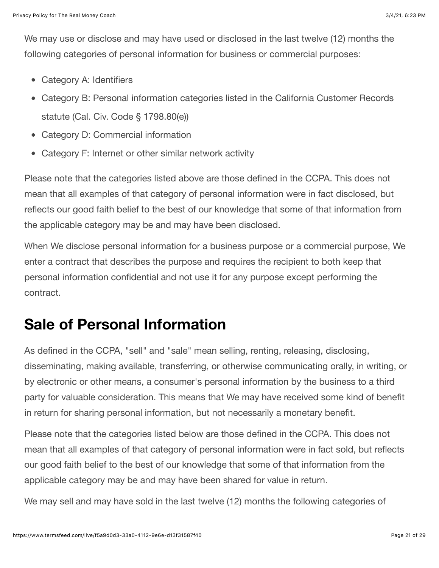We may use or disclose and may have used or disclosed in the last twelve (12) months the following categories of personal information for business or commercial purposes:

- Category A: Identifiers
- Category B: Personal information categories listed in the California Customer Records statute (Cal. Civ. Code § 1798.80(e))
- Category D: Commercial information  $\bullet$
- Category F: Internet or other similar network activity

Please note that the categories listed above are those defined in the CCPA. This does not mean that all examples of that category of personal information were in fact disclosed, but reflects our good faith belief to the best of our knowledge that some of that information from the applicable category may be and may have been disclosed.

When We disclose personal information for a business purpose or a commercial purpose, We enter a contract that describes the purpose and requires the recipient to both keep that personal information confidential and not use it for any purpose except performing the contract.

#### **Sale of Personal Information**

As defined in the CCPA, "sell" and "sale" mean selling, renting, releasing, disclosing, disseminating, making available, transferring, or otherwise communicating orally, in writing, or by electronic or other means, a consumer's personal information by the business to a third party for valuable consideration. This means that We may have received some kind of benefit in return for sharing personal information, but not necessarily a monetary benefit.

Please note that the categories listed below are those defined in the CCPA. This does not mean that all examples of that category of personal information were in fact sold, but reflects our good faith belief to the best of our knowledge that some of that information from the applicable category may be and may have been shared for value in return.

We may sell and may have sold in the last twelve (12) months the following categories of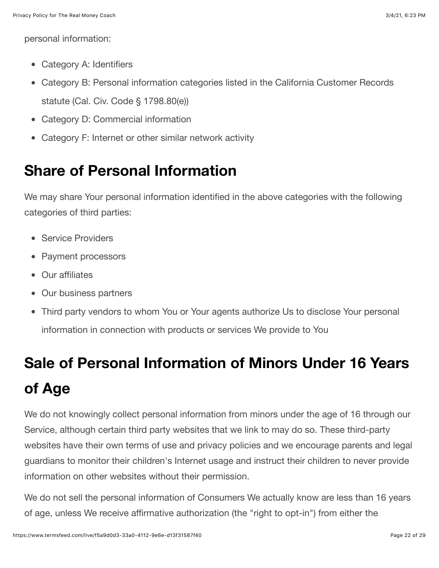personal information:

- Category A: Identifiers
- Category B: Personal information categories listed in the California Customer Records statute (Cal. Civ. Code § 1798.80(e))
- Category D: Commercial information
- Category F: Internet or other similar network activity

## **Share of Personal Information**

We may share Your personal information identified in the above categories with the following categories of third parties:

- Service Providers
- Payment processors
- Our affiliates
- Our business partners
- Third party vendors to whom You or Your agents authorize Us to disclose Your personal information in connection with products or services We provide to You

## **Sale of Personal Information of Minors Under 16 Years of Age**

We do not knowingly collect personal information from minors under the age of 16 through our Service, although certain third party websites that we link to may do so. These third-party websites have their own terms of use and privacy policies and we encourage parents and legal guardians to monitor their children's Internet usage and instruct their children to never provide information on other websites without their permission.

We do not sell the personal information of Consumers We actually know are less than 16 years of age, unless We receive affirmative authorization (the "right to opt-in") from either the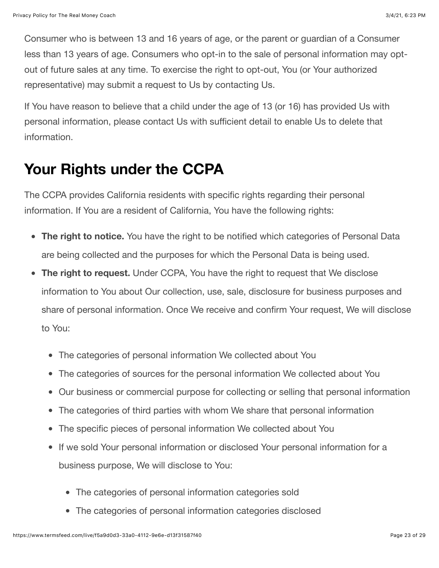Consumer who is between 13 and 16 years of age, or the parent or guardian of a Consumer less than 13 years of age. Consumers who opt-in to the sale of personal information may optout of future sales at any time. To exercise the right to opt-out, You (or Your authorized representative) may submit a request to Us by contacting Us.

If You have reason to believe that a child under the age of 13 (or 16) has provided Us with personal information, please contact Us with sufficient detail to enable Us to delete that information.

### **Your Rights under the CCPA**

The CCPA provides California residents with specific rights regarding their personal information. If You are a resident of California, You have the following rights:

- **The right to notice.** You have the right to be notified which categories of Personal Data are being collected and the purposes for which the Personal Data is being used.
- **The right to request.** Under CCPA, You have the right to request that We disclose information to You about Our collection, use, sale, disclosure for business purposes and share of personal information. Once We receive and confirm Your request, We will disclose to You:
	- The categories of personal information We collected about You
	- The categories of sources for the personal information We collected about You
	- Our business or commercial purpose for collecting or selling that personal information
	- The categories of third parties with whom We share that personal information
	- The specific pieces of personal information We collected about You
	- If we sold Your personal information or disclosed Your personal information for a business purpose, We will disclose to You:
		- The categories of personal information categories sold
		- The categories of personal information categories disclosed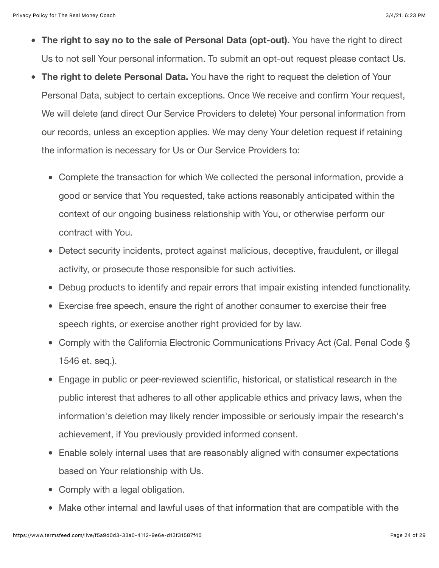- **The right to say no to the sale of Personal Data (opt-out).** You have the right to direct Us to not sell Your personal information. To submit an opt-out request please contact Us.
- **The right to delete Personal Data.** You have the right to request the deletion of Your  $\bullet$ Personal Data, subject to certain exceptions. Once We receive and confirm Your request, We will delete (and direct Our Service Providers to delete) Your personal information from our records, unless an exception applies. We may deny Your deletion request if retaining the information is necessary for Us or Our Service Providers to:
	- Complete the transaction for which We collected the personal information, provide a good or service that You requested, take actions reasonably anticipated within the context of our ongoing business relationship with You, or otherwise perform our contract with You.
	- Detect security incidents, protect against malicious, deceptive, fraudulent, or illegal activity, or prosecute those responsible for such activities.
	- Debug products to identify and repair errors that impair existing intended functionality.
	- Exercise free speech, ensure the right of another consumer to exercise their free speech rights, or exercise another right provided for by law.
	- Comply with the California Electronic Communications Privacy Act (Cal. Penal Code § 1546 et. seq.).
	- Engage in public or peer-reviewed scientific, historical, or statistical research in the public interest that adheres to all other applicable ethics and privacy laws, when the information's deletion may likely render impossible or seriously impair the research's achievement, if You previously provided informed consent.
	- Enable solely internal uses that are reasonably aligned with consumer expectations based on Your relationship with Us.
	- Comply with a legal obligation.
	- Make other internal and lawful uses of that information that are compatible with the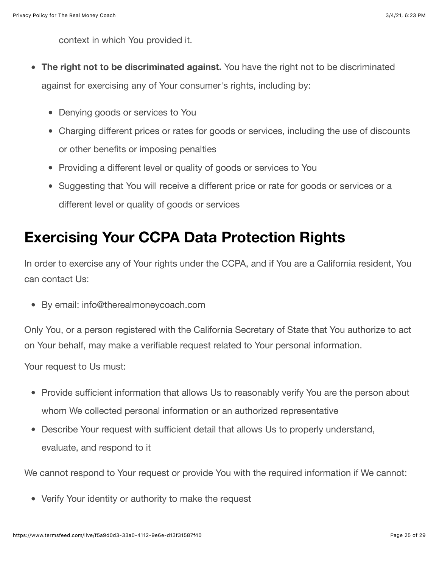context in which You provided it.

- **The right not to be discriminated against.** You have the right not to be discriminated  $\bullet$ against for exercising any of Your consumer's rights, including by:
	- Denying goods or services to You
	- Charging different prices or rates for goods or services, including the use of discounts or other benefits or imposing penalties
	- Providing a different level or quality of goods or services to You
	- Suggesting that You will receive a different price or rate for goods or services or a different level or quality of goods or services

### **Exercising Your CCPA Data Protection Rights**

In order to exercise any of Your rights under the CCPA, and if You are a California resident, You can contact Us:

By email: info@therealmoneycoach.com

Only You, or a person registered with the California Secretary of State that You authorize to act on Your behalf, may make a verifiable request related to Your personal information.

Your request to Us must:

- Provide sufficient information that allows Us to reasonably verify You are the person about whom We collected personal information or an authorized representative
- Describe Your request with sufficient detail that allows Us to properly understand, evaluate, and respond to it

We cannot respond to Your request or provide You with the required information if We cannot:

Verify Your identity or authority to make the request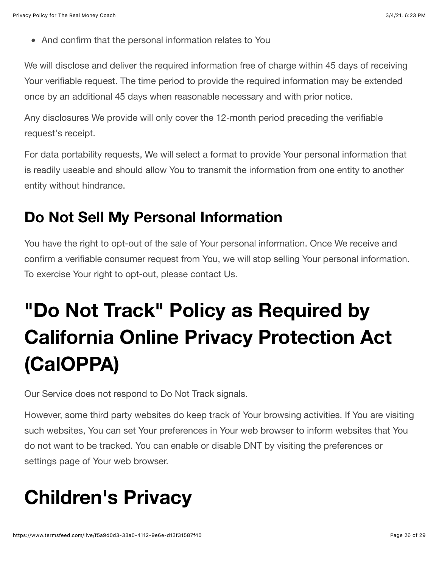And confirm that the personal information relates to You

We will disclose and deliver the required information free of charge within 45 days of receiving Your verifiable request. The time period to provide the required information may be extended once by an additional 45 days when reasonable necessary and with prior notice.

Any disclosures We provide will only cover the 12-month period preceding the verifiable request's receipt.

For data portability requests, We will select a format to provide Your personal information that is readily useable and should allow You to transmit the information from one entity to another entity without hindrance.

#### **Do Not Sell My Personal Information**

You have the right to opt-out of the sale of Your personal information. Once We receive and confirm a verifiable consumer request from You, we will stop selling Your personal information. To exercise Your right to opt-out, please contact Us.

# **"Do Not Track" Policy as Required by California Online Privacy Protection Act (CalOPPA)**

Our Service does not respond to Do Not Track signals.

However, some third party websites do keep track of Your browsing activities. If You are visiting such websites, You can set Your preferences in Your web browser to inform websites that You do not want to be tracked. You can enable or disable DNT by visiting the preferences or settings page of Your web browser.

# **Children's Privacy**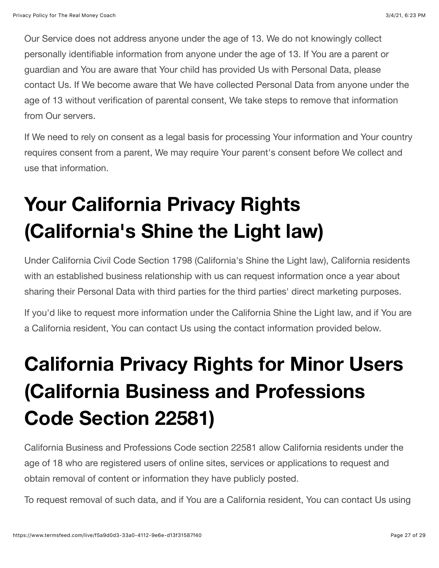Our Service does not address anyone under the age of 13. We do not knowingly collect personally identifiable information from anyone under the age of 13. If You are a parent or guardian and You are aware that Your child has provided Us with Personal Data, please contact Us. If We become aware that We have collected Personal Data from anyone under the age of 13 without verification of parental consent, We take steps to remove that information from Our servers.

If We need to rely on consent as a legal basis for processing Your information and Your country requires consent from a parent, We may require Your parent's consent before We collect and use that information.

# **Your California Privacy Rights (California's Shine the Light law)**

Under California Civil Code Section 1798 (California's Shine the Light law), California residents with an established business relationship with us can request information once a year about sharing their Personal Data with third parties for the third parties' direct marketing purposes.

If you'd like to request more information under the California Shine the Light law, and if You are a California resident, You can contact Us using the contact information provided below.

# **California Privacy Rights for Minor Users (California Business and Professions Code Section 22581)**

California Business and Professions Code section 22581 allow California residents under the age of 18 who are registered users of online sites, services or applications to request and obtain removal of content or information they have publicly posted.

To request removal of such data, and if You are a California resident, You can contact Us using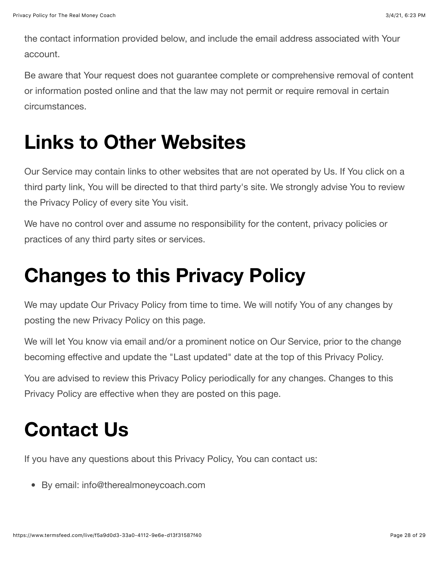the contact information provided below, and include the email address associated with Your account.

Be aware that Your request does not guarantee complete or comprehensive removal of content or information posted online and that the law may not permit or require removal in certain circumstances.

## **Links to Other Websites**

Our Service may contain links to other websites that are not operated by Us. If You click on a third party link, You will be directed to that third party's site. We strongly advise You to review the Privacy Policy of every site You visit.

We have no control over and assume no responsibility for the content, privacy policies or practices of any third party sites or services.

## **Changes to this Privacy Policy**

We may update Our Privacy Policy from time to time. We will notify You of any changes by posting the new Privacy Policy on this page.

We will let You know via email and/or a prominent notice on Our Service, prior to the change becoming effective and update the "Last updated" date at the top of this Privacy Policy.

You are advised to review this Privacy Policy periodically for any changes. Changes to this Privacy Policy are effective when they are posted on this page.

## **Contact Us**

If you have any questions about this Privacy Policy, You can contact us:

By email: info@therealmoneycoach.com